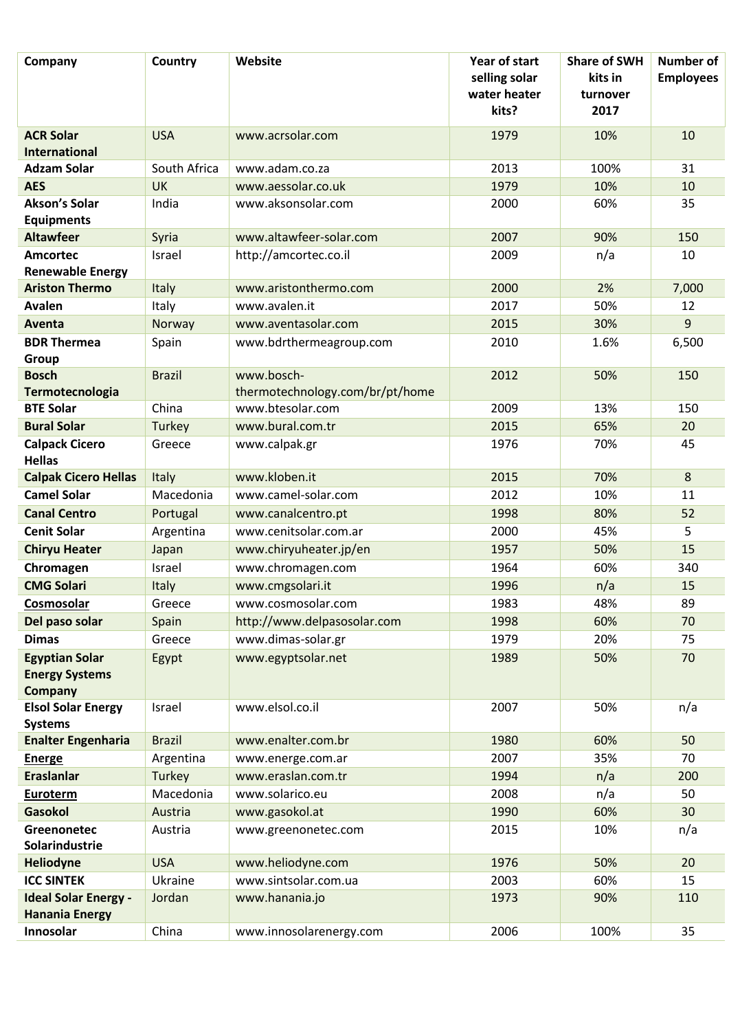| Company                                                          | Country       | Website                         | Year of start<br>selling solar<br>water heater<br>kits? | <b>Share of SWH</b><br>kits in<br>turnover<br>2017 | <b>Number of</b><br><b>Employees</b> |
|------------------------------------------------------------------|---------------|---------------------------------|---------------------------------------------------------|----------------------------------------------------|--------------------------------------|
|                                                                  |               |                                 |                                                         |                                                    |                                      |
| <b>ACR Solar</b>                                                 | <b>USA</b>    | www.acrsolar.com                | 1979                                                    | 10%                                                | 10                                   |
| <b>International</b>                                             |               |                                 |                                                         |                                                    |                                      |
| <b>Adzam Solar</b>                                               | South Africa  | www.adam.co.za                  | 2013                                                    | 100%                                               | 31                                   |
| <b>AES</b>                                                       | <b>UK</b>     | www.aessolar.co.uk              | 1979                                                    | 10%                                                | 10                                   |
| <b>Akson's Solar</b><br><b>Equipments</b>                        | India         | www.aksonsolar.com              | 2000                                                    | 60%                                                | 35                                   |
| <b>Altawfeer</b>                                                 | Syria         | www.altawfeer-solar.com         | 2007                                                    | 90%                                                | 150                                  |
| <b>Amcortec</b><br><b>Renewable Energy</b>                       | Israel        | http://amcortec.co.il           | 2009                                                    | n/a                                                | 10                                   |
| <b>Ariston Thermo</b>                                            | Italy         | www.aristonthermo.com           | 2000                                                    | 2%                                                 | 7,000                                |
| <b>Avalen</b>                                                    | Italy         | www.avalen.it                   | 2017                                                    | 50%                                                | 12                                   |
| Aventa                                                           | Norway        | www.aventasolar.com             | 2015                                                    | 30%                                                | 9                                    |
| <b>BDR Thermea</b>                                               | Spain         | www.bdrthermeagroup.com         | 2010                                                    | 1.6%                                               | 6,500                                |
| Group                                                            |               |                                 |                                                         |                                                    |                                      |
| <b>Bosch</b>                                                     | <b>Brazil</b> | www.bosch-                      | 2012                                                    | 50%                                                | 150                                  |
| Termotecnologia                                                  |               | thermotechnology.com/br/pt/home |                                                         |                                                    |                                      |
| <b>BTE Solar</b>                                                 | China         | www.btesolar.com                | 2009                                                    | 13%                                                | 150                                  |
| <b>Bural Solar</b>                                               | Turkey        | www.bural.com.tr                | 2015                                                    | 65%                                                | 20                                   |
| <b>Calpack Cicero</b><br><b>Hellas</b>                           | Greece        | www.calpak.gr                   | 1976                                                    | 70%                                                | 45                                   |
| <b>Calpak Cicero Hellas</b>                                      | Italy         | www.kloben.it                   | 2015                                                    | 70%                                                | 8                                    |
| <b>Camel Solar</b>                                               | Macedonia     | www.camel-solar.com             | 2012                                                    | 10%                                                | 11                                   |
| <b>Canal Centro</b>                                              | Portugal      | www.canalcentro.pt              | 1998                                                    | 80%                                                | 52                                   |
| <b>Cenit Solar</b>                                               | Argentina     | www.cenitsolar.com.ar           | 2000                                                    | 45%                                                | 5                                    |
| <b>Chiryu Heater</b>                                             | Japan         | www.chiryuheater.jp/en          | 1957                                                    | 50%                                                | 15                                   |
| Chromagen                                                        | Israel        | www.chromagen.com               | 1964                                                    | 60%                                                | 340                                  |
| <b>CMG Solari</b>                                                | Italy         | www.cmgsolari.it                | 1996                                                    | n/a                                                | 15                                   |
| Cosmosolar                                                       | Greece        | www.cosmosolar.com              | 1983                                                    | 48%                                                | 89                                   |
| Del paso solar                                                   | Spain         | http://www.delpasosolar.com     | 1998                                                    | 60%                                                | 70                                   |
| <b>Dimas</b>                                                     | Greece        | www.dimas-solar.gr              | 1979                                                    | 20%                                                | 75                                   |
| <b>Egyptian Solar</b><br><b>Energy Systems</b><br><b>Company</b> | Egypt         | www.egyptsolar.net              | 1989                                                    | 50%                                                | 70                                   |
| <b>Elsol Solar Energy</b><br><b>Systems</b>                      | Israel        | www.elsol.co.il                 | 2007                                                    | 50%                                                | n/a                                  |
| <b>Enalter Engenharia</b>                                        | <b>Brazil</b> | www.enalter.com.br              | 1980                                                    | 60%                                                | 50                                   |
| <b>Energe</b>                                                    | Argentina     | www.energe.com.ar               | 2007                                                    | 35%                                                | 70                                   |
| <b>Eraslanlar</b>                                                | Turkey        | www.eraslan.com.tr              | 1994                                                    | n/a                                                | 200                                  |
| <b>Euroterm</b>                                                  | Macedonia     | www.solarico.eu                 | 2008                                                    | n/a                                                | 50                                   |
| <b>Gasokol</b>                                                   | Austria       | www.gasokol.at                  | 1990                                                    | 60%                                                | 30                                   |
| <b>Greenonetec</b>                                               | Austria       | www.greenonetec.com             | 2015                                                    | 10%                                                | n/a                                  |
| Solarindustrie                                                   |               |                                 |                                                         |                                                    |                                      |
| Heliodyne                                                        | <b>USA</b>    | www.heliodyne.com               | 1976                                                    | 50%                                                | 20                                   |
| <b>ICC SINTEK</b>                                                | Ukraine       | www.sintsolar.com.ua            | 2003                                                    | 60%                                                | 15                                   |
| <b>Ideal Solar Energy -</b>                                      | Jordan        | www.hanania.jo                  | 1973                                                    | 90%                                                | 110                                  |
| <b>Hanania Energy</b>                                            |               |                                 |                                                         |                                                    |                                      |
| Innosolar                                                        | China         | www.innosolarenergy.com         | 2006                                                    | 100%                                               | 35                                   |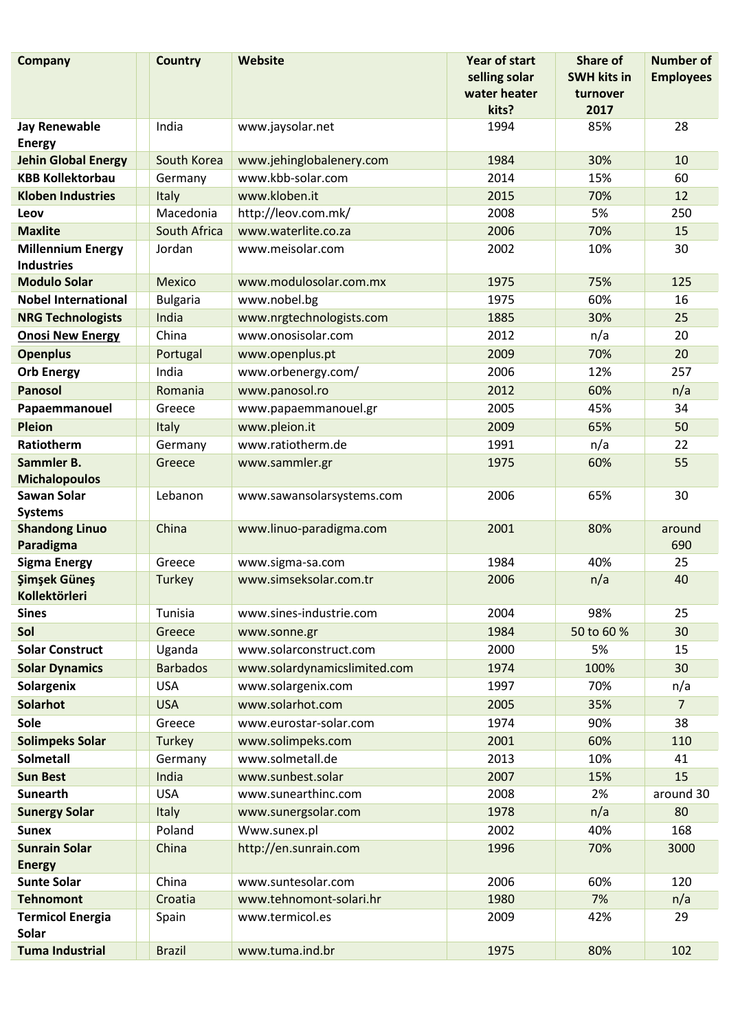| selling solar<br><b>SWH kits in</b><br>water heater<br>turnover<br>kits?<br>2017<br>India<br>85%<br><b>Jay Renewable</b><br>www.jaysolar.net<br>1994<br><b>Energy</b><br>30%<br><b>Jehin Global Energy</b><br>South Korea<br>www.jehinglobalenery.com<br>1984<br><b>KBB Kollektorbau</b><br>www.kbb-solar.com<br>15%<br>2014<br>Germany<br>Italy<br>www.kloben.it<br>2015<br>70%<br><b>Kloben Industries</b><br>Macedonia<br>http://leov.com.mk/<br>2008<br>5%<br>Leov<br><b>Maxlite</b><br>www.waterlite.co.za<br>South Africa<br>2006<br>70% | <b>Employees</b><br>28<br>10<br>60<br>12<br>250<br>15<br>30<br>125<br>16<br>25 |
|------------------------------------------------------------------------------------------------------------------------------------------------------------------------------------------------------------------------------------------------------------------------------------------------------------------------------------------------------------------------------------------------------------------------------------------------------------------------------------------------------------------------------------------------|--------------------------------------------------------------------------------|
|                                                                                                                                                                                                                                                                                                                                                                                                                                                                                                                                                |                                                                                |
|                                                                                                                                                                                                                                                                                                                                                                                                                                                                                                                                                |                                                                                |
|                                                                                                                                                                                                                                                                                                                                                                                                                                                                                                                                                |                                                                                |
|                                                                                                                                                                                                                                                                                                                                                                                                                                                                                                                                                |                                                                                |
|                                                                                                                                                                                                                                                                                                                                                                                                                                                                                                                                                |                                                                                |
|                                                                                                                                                                                                                                                                                                                                                                                                                                                                                                                                                |                                                                                |
|                                                                                                                                                                                                                                                                                                                                                                                                                                                                                                                                                |                                                                                |
|                                                                                                                                                                                                                                                                                                                                                                                                                                                                                                                                                |                                                                                |
|                                                                                                                                                                                                                                                                                                                                                                                                                                                                                                                                                |                                                                                |
| Jordan<br>2002<br>10%<br><b>Millennium Energy</b><br>www.meisolar.com<br><b>Industries</b>                                                                                                                                                                                                                                                                                                                                                                                                                                                     |                                                                                |
| <b>Modulo Solar</b><br>www.modulosolar.com.mx<br>1975<br>75%<br><b>Mexico</b>                                                                                                                                                                                                                                                                                                                                                                                                                                                                  |                                                                                |
| <b>Nobel International</b><br>www.nobel.bg<br>1975<br>60%<br><b>Bulgaria</b>                                                                                                                                                                                                                                                                                                                                                                                                                                                                   |                                                                                |
| 30%<br><b>NRG Technologists</b><br>India<br>www.nrgtechnologists.com<br>1885                                                                                                                                                                                                                                                                                                                                                                                                                                                                   |                                                                                |
| China<br>www.onosisolar.com<br>n/a<br><b>Onosi New Energy</b><br>2012                                                                                                                                                                                                                                                                                                                                                                                                                                                                          | 20                                                                             |
| <b>Openplus</b><br>2009<br>70%<br>Portugal<br>www.openplus.pt                                                                                                                                                                                                                                                                                                                                                                                                                                                                                  | 20                                                                             |
| India<br>2006<br>12%<br><b>Orb Energy</b><br>www.orbenergy.com/                                                                                                                                                                                                                                                                                                                                                                                                                                                                                | 257                                                                            |
| <b>Panosol</b><br>www.panosol.ro<br>2012<br>60%<br>Romania                                                                                                                                                                                                                                                                                                                                                                                                                                                                                     | n/a                                                                            |
| 45%<br>www.papaemmanouel.gr<br>2005<br>Papaemmanouel<br>Greece                                                                                                                                                                                                                                                                                                                                                                                                                                                                                 | 34                                                                             |
| <b>Pleion</b><br>www.pleion.it<br>2009<br>65%<br>Italy                                                                                                                                                                                                                                                                                                                                                                                                                                                                                         | 50                                                                             |
| www.ratiotherm.de<br>Ratiotherm<br>1991<br>n/a<br>Germany                                                                                                                                                                                                                                                                                                                                                                                                                                                                                      | 22                                                                             |
| Sammler B.<br>1975<br>60%<br>Greece<br>www.sammler.gr                                                                                                                                                                                                                                                                                                                                                                                                                                                                                          | 55                                                                             |
| <b>Michalopoulos</b>                                                                                                                                                                                                                                                                                                                                                                                                                                                                                                                           |                                                                                |
| <b>Sawan Solar</b><br>2006<br>65%<br>Lebanon<br>www.sawansolarsystems.com                                                                                                                                                                                                                                                                                                                                                                                                                                                                      | 30                                                                             |
| <b>Systems</b>                                                                                                                                                                                                                                                                                                                                                                                                                                                                                                                                 |                                                                                |
| <b>Shandong Linuo</b><br>China<br>www.linuo-paradigma.com<br>2001<br>80%<br>Paradigma                                                                                                                                                                                                                                                                                                                                                                                                                                                          | around<br>690                                                                  |
| <b>Sigma Energy</b><br>1984<br>40%<br>Greece<br>www.sigma-sa.com                                                                                                                                                                                                                                                                                                                                                                                                                                                                               | 25                                                                             |
| <b>Simsek Günes</b><br>www.simseksolar.com.tr<br>2006<br>n/a<br>Turkey                                                                                                                                                                                                                                                                                                                                                                                                                                                                         | 40                                                                             |
| Kollektörleri                                                                                                                                                                                                                                                                                                                                                                                                                                                                                                                                  |                                                                                |
| 98%<br><b>Sines</b><br>2004<br>Tunisia<br>www.sines-industrie.com                                                                                                                                                                                                                                                                                                                                                                                                                                                                              | 25                                                                             |
| Sol<br>1984<br>50 to 60 %<br>Greece<br>www.sonne.gr                                                                                                                                                                                                                                                                                                                                                                                                                                                                                            | 30                                                                             |
| www.solarconstruct.com<br><b>Solar Construct</b><br>Uganda<br>2000<br>5%                                                                                                                                                                                                                                                                                                                                                                                                                                                                       | 15                                                                             |
| 1974<br><b>Solar Dynamics</b><br><b>Barbados</b><br>www.solardynamicslimited.com<br>100%                                                                                                                                                                                                                                                                                                                                                                                                                                                       | 30                                                                             |
| Solargenix<br><b>USA</b><br>www.solargenix.com<br>1997<br>70%                                                                                                                                                                                                                                                                                                                                                                                                                                                                                  | n/a                                                                            |
| <b>Solarhot</b><br>www.solarhot.com<br>2005<br>35%<br><b>USA</b>                                                                                                                                                                                                                                                                                                                                                                                                                                                                               | $\overline{7}$                                                                 |
| Sole<br>1974<br>90%<br>www.eurostar-solar.com<br>Greece                                                                                                                                                                                                                                                                                                                                                                                                                                                                                        | 38                                                                             |
| <b>Solimpeks Solar</b><br>www.solimpeks.com<br>2001<br>60%<br>Turkey                                                                                                                                                                                                                                                                                                                                                                                                                                                                           | 110                                                                            |
| <b>Solmetall</b><br>www.solmetall.de<br>2013<br>10%<br>Germany                                                                                                                                                                                                                                                                                                                                                                                                                                                                                 | 41                                                                             |
| India<br>www.sunbest.solar<br>2007<br>15%<br><b>Sun Best</b>                                                                                                                                                                                                                                                                                                                                                                                                                                                                                   | 15                                                                             |
| <b>Sunearth</b><br><b>USA</b><br>www.sunearthinc.com<br>2008<br>2%                                                                                                                                                                                                                                                                                                                                                                                                                                                                             | around 30                                                                      |
| www.sunergsolar.com<br>1978<br>n/a<br><b>Sunergy Solar</b><br><b>Italy</b>                                                                                                                                                                                                                                                                                                                                                                                                                                                                     | 80                                                                             |
| Poland<br>Www.sunex.pl<br>2002<br>40%<br><b>Sunex</b>                                                                                                                                                                                                                                                                                                                                                                                                                                                                                          | 168                                                                            |
| http://en.sunrain.com<br>70%<br><b>Sunrain Solar</b><br>China<br>1996                                                                                                                                                                                                                                                                                                                                                                                                                                                                          | 3000                                                                           |
| <b>Energy</b>                                                                                                                                                                                                                                                                                                                                                                                                                                                                                                                                  |                                                                                |
| China<br>www.suntesolar.com<br>2006<br>60%<br><b>Sunte Solar</b>                                                                                                                                                                                                                                                                                                                                                                                                                                                                               | 120                                                                            |
| 7%<br><b>Tehnomont</b><br>www.tehnomont-solari.hr<br>1980<br>Croatia                                                                                                                                                                                                                                                                                                                                                                                                                                                                           | n/a                                                                            |
| 2009<br>42%<br><b>Termicol Energia</b><br>www.termicol.es<br>Spain<br>Solar                                                                                                                                                                                                                                                                                                                                                                                                                                                                    | 29                                                                             |
| <b>Tuma Industrial</b><br><b>Brazil</b><br>www.tuma.ind.br<br>1975<br>80%                                                                                                                                                                                                                                                                                                                                                                                                                                                                      | 102                                                                            |